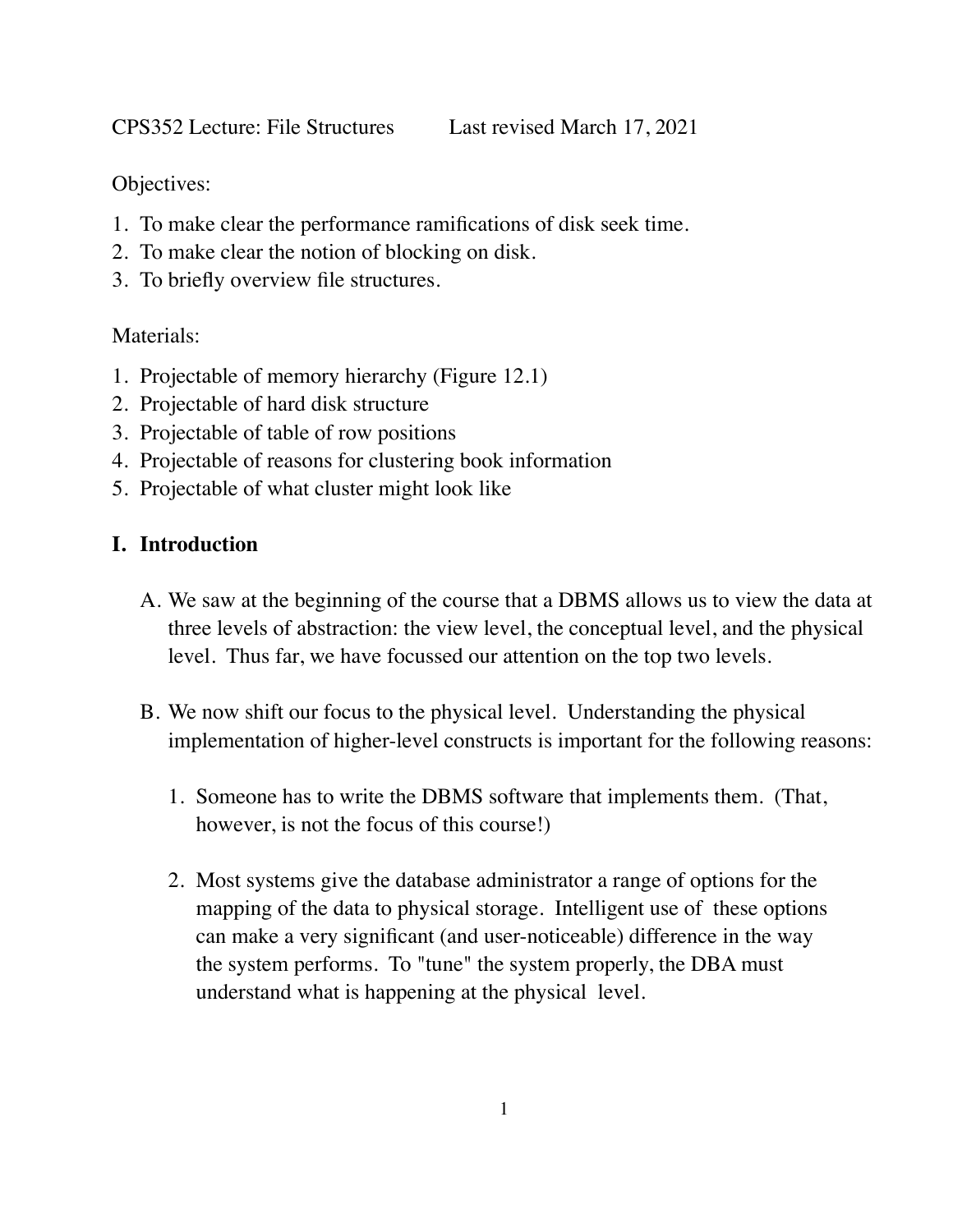CPS352 Lecture: File Structures Last revised March 17, 2021

Objectives:

- 1. To make clear the performance ramifications of disk seek time.
- 2. To make clear the notion of blocking on disk.
- 3. To briefly overview file structures.

## Materials:

- 1. Projectable of memory hierarchy (Figure 12.1)
- 2. Projectable of hard disk structure
- 3. Projectable of table of row positions
- 4. Projectable of reasons for clustering book information
- 5. Projectable of what cluster might look like

# **I. Introduction**

- A. We saw at the beginning of the course that a DBMS allows us to view the data at three levels of abstraction: the view level, the conceptual level, and the physical level. Thus far, we have focussed our attention on the top two levels.
- B. We now shift our focus to the physical level. Understanding the physical implementation of higher-level constructs is important for the following reasons:
	- 1. Someone has to write the DBMS software that implements them. (That, however, is not the focus of this course!)
	- 2. Most systems give the database administrator a range of options for the mapping of the data to physical storage. Intelligent use of these options can make a very significant (and user-noticeable) difference in the way the system performs. To "tune" the system properly, the DBA must understand what is happening at the physical level.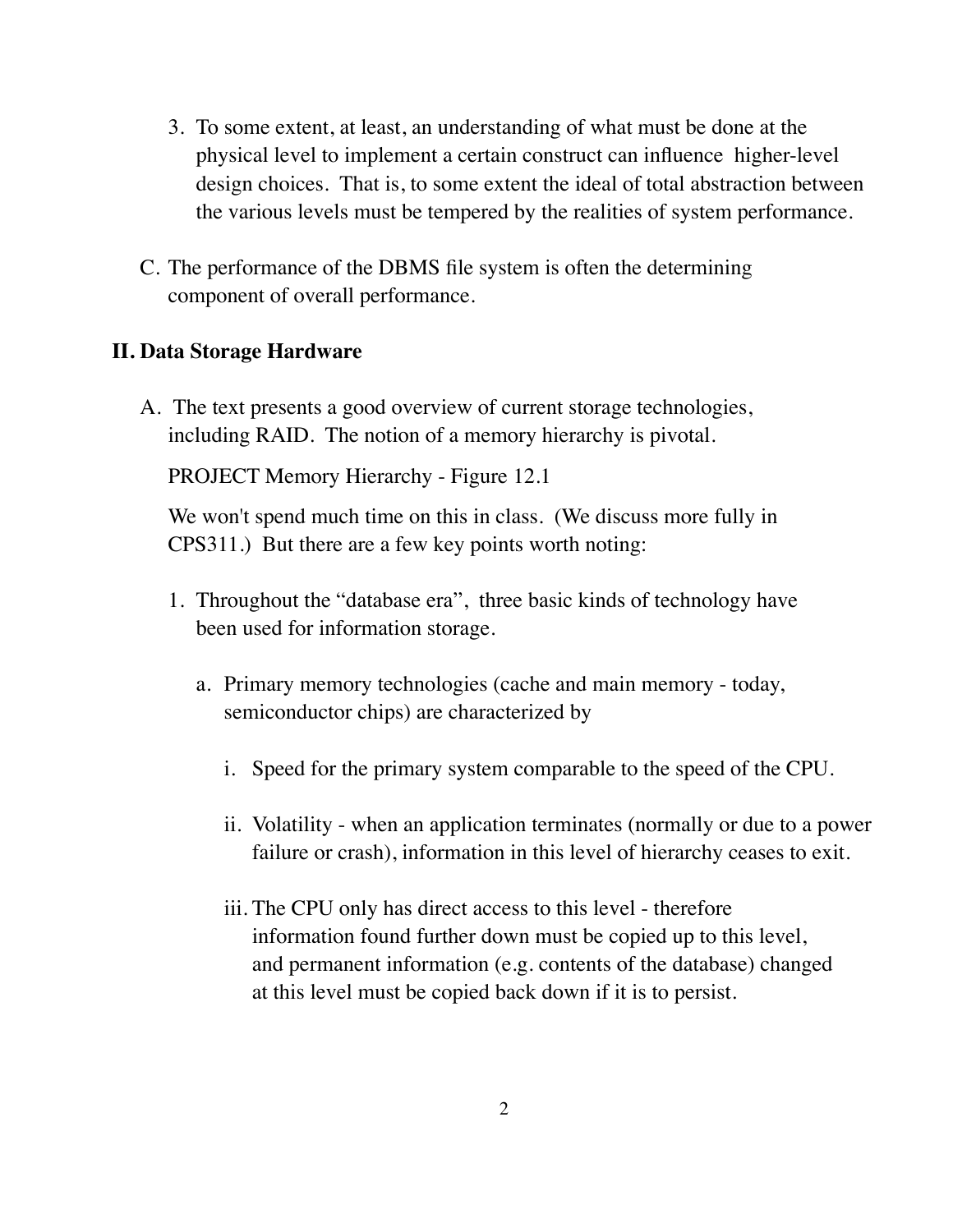- 3. To some extent, at least, an understanding of what must be done at the physical level to implement a certain construct can influence higher-level design choices. That is, to some extent the ideal of total abstraction between the various levels must be tempered by the realities of system performance.
- C. The performance of the DBMS file system is often the determining component of overall performance.

## **II. Data Storage Hardware**

A. The text presents a good overview of current storage technologies, including RAID. The notion of a memory hierarchy is pivotal.

PROJECT Memory Hierarchy - Figure 12.1

We won't spend much time on this in class. (We discuss more fully in CPS311.) But there are a few key points worth noting:

- 1. Throughout the "database era", three basic kinds of technology have been used for information storage.
	- a. Primary memory technologies (cache and main memory today, semiconductor chips) are characterized by
		- i. Speed for the primary system comparable to the speed of the CPU.
		- ii. Volatility when an application terminates (normally or due to a power failure or crash), information in this level of hierarchy ceases to exit.
		- iii. The CPU only has direct access to this level therefore information found further down must be copied up to this level, and permanent information (e.g. contents of the database) changed at this level must be copied back down if it is to persist.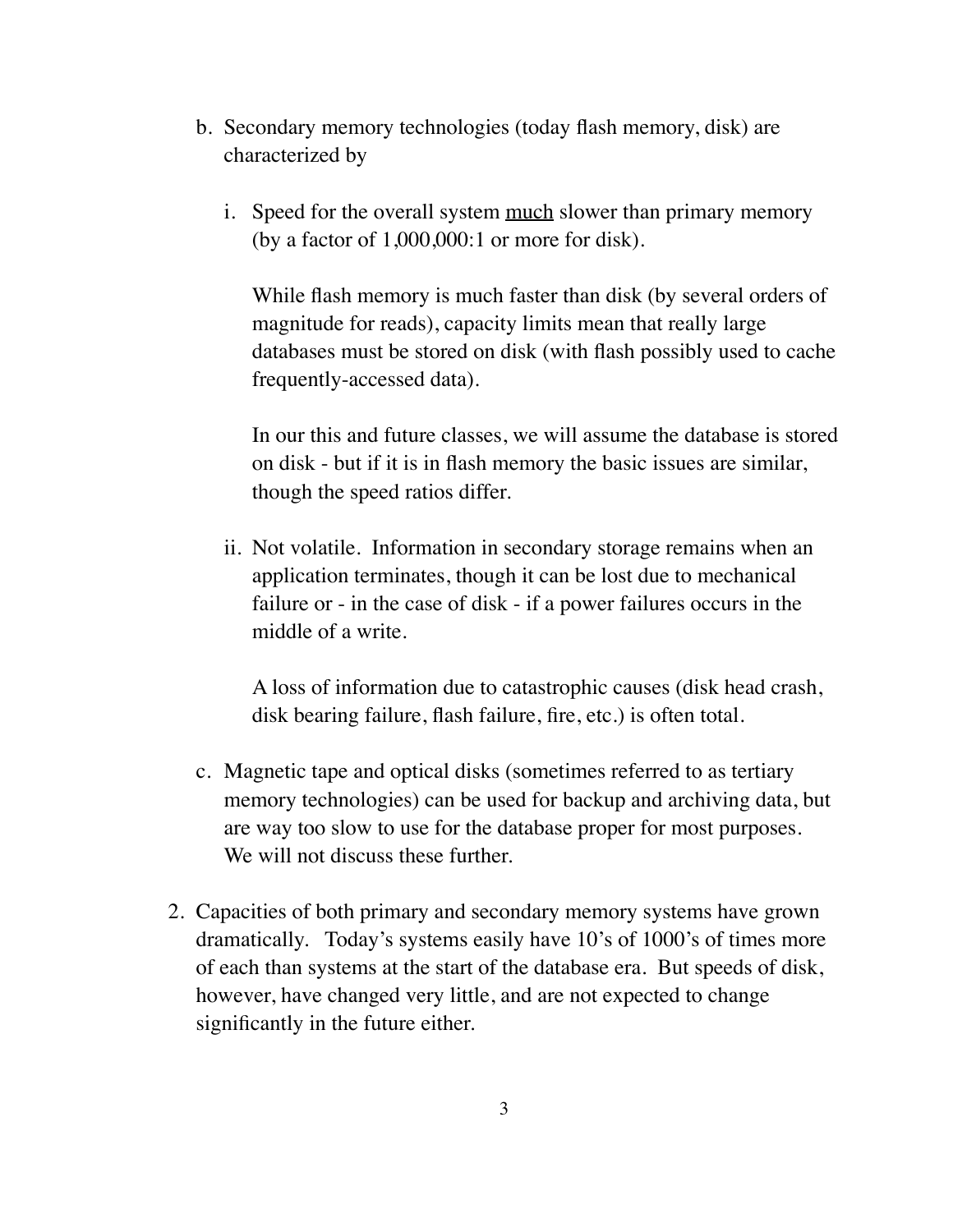- b. Secondary memory technologies (today flash memory, disk) are characterized by
	- i. Speed for the overall system much slower than primary memory (by a factor of 1,000,000:1 or more for disk).

While flash memory is much faster than disk (by several orders of magnitude for reads), capacity limits mean that really large databases must be stored on disk (with flash possibly used to cache frequently-accessed data).

In our this and future classes, we will assume the database is stored on disk - but if it is in flash memory the basic issues are similar, though the speed ratios differ.

ii. Not volatile. Information in secondary storage remains when an application terminates, though it can be lost due to mechanical failure or - in the case of disk - if a power failures occurs in the middle of a write.

A loss of information due to catastrophic causes (disk head crash, disk bearing failure, flash failure, fire, etc.) is often total.

- c. Magnetic tape and optical disks (sometimes referred to as tertiary memory technologies) can be used for backup and archiving data, but are way too slow to use for the database proper for most purposes. We will not discuss these further.
- 2. Capacities of both primary and secondary memory systems have grown dramatically. Today's systems easily have 10's of 1000's of times more of each than systems at the start of the database era. But speeds of disk, however, have changed very little, and are not expected to change significantly in the future either.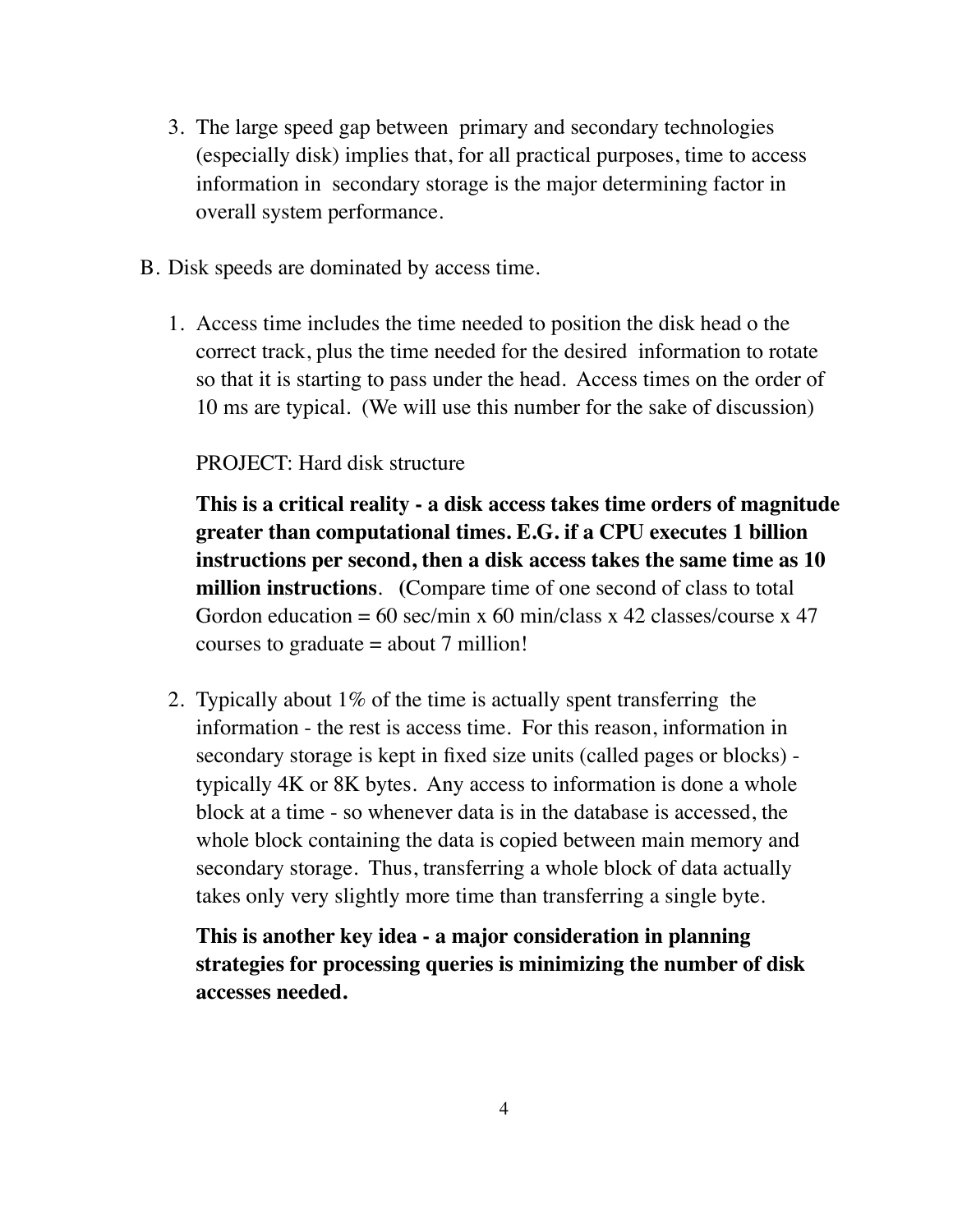- 3. The large speed gap between primary and secondary technologies (especially disk) implies that, for all practical purposes, time to access information in secondary storage is the major determining factor in overall system performance.
- B. Disk speeds are dominated by access time.
	- 1. Access time includes the time needed to position the disk head o the correct track, plus the time needed for the desired information to rotate so that it is starting to pass under the head. Access times on the order of 10 ms are typical. (We will use this number for the sake of discussion)

### PROJECT: Hard disk structure

**This is a critical reality - a disk access takes time orders of magnitude greater than computational times. E.G. if a CPU executes 1 billion instructions per second, then a disk access takes the same time as 10 million instructions**. **(**Compare time of one second of class to total Gordon education = 60 sec/min x 60 min/class x 42 classes/course x 47 courses to graduate  $=$  about  $7$  million!

2. Typically about 1% of the time is actually spent transferring the information - the rest is access time. For this reason, information in secondary storage is kept in fixed size units (called pages or blocks) typically 4K or 8K bytes. Any access to information is done a whole block at a time - so whenever data is in the database is accessed, the whole block containing the data is copied between main memory and secondary storage. Thus, transferring a whole block of data actually takes only very slightly more time than transferring a single byte.

**This is another key idea - a major consideration in planning strategies for processing queries is minimizing the number of disk accesses needed.**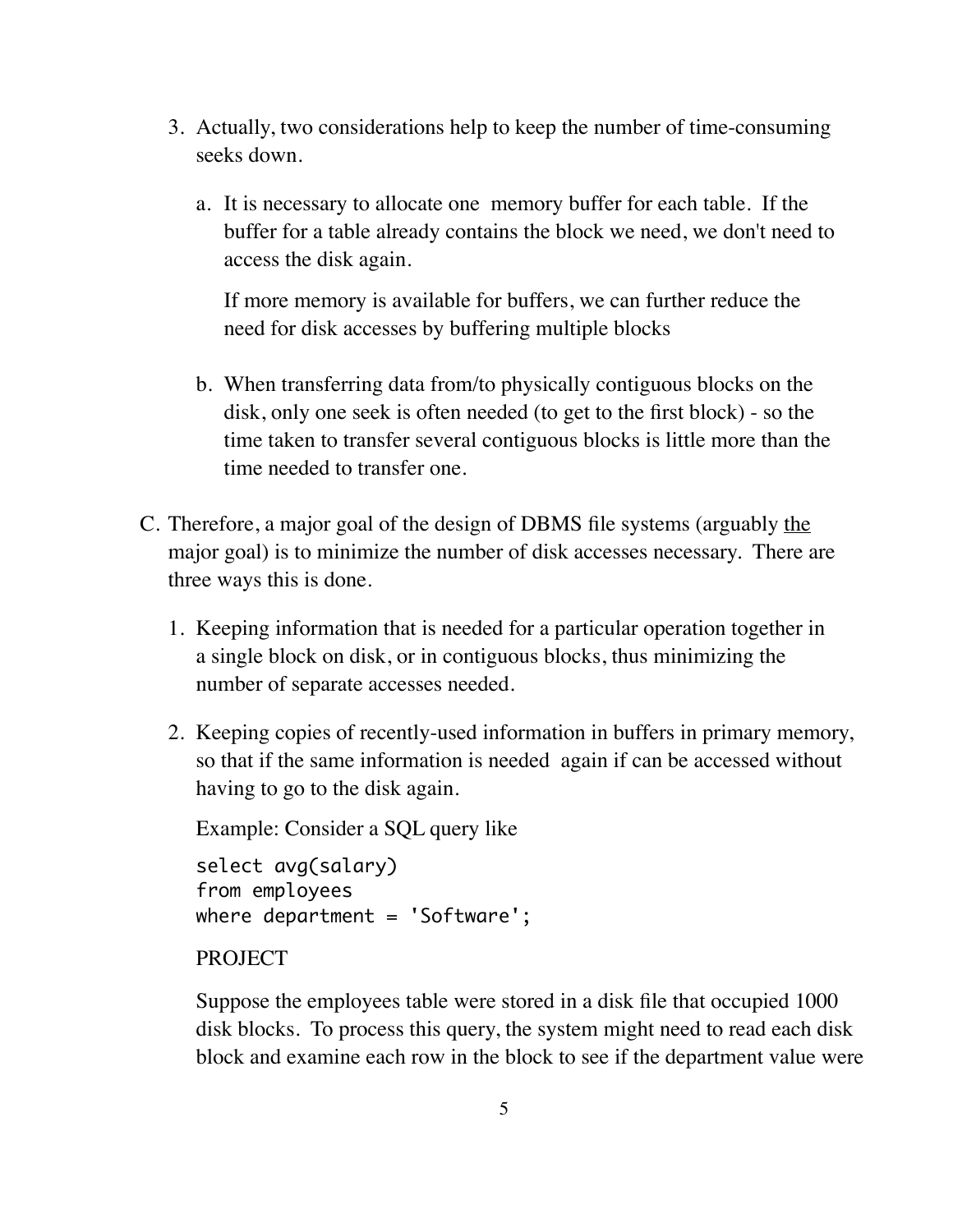- 3. Actually, two considerations help to keep the number of time-consuming seeks down.
	- a. It is necessary to allocate one memory buffer for each table. If the buffer for a table already contains the block we need, we don't need to access the disk again.

If more memory is available for buffers, we can further reduce the need for disk accesses by buffering multiple blocks

- b. When transferring data from/to physically contiguous blocks on the disk, only one seek is often needed (to get to the first block) - so the time taken to transfer several contiguous blocks is little more than the time needed to transfer one.
- C. Therefore, a major goal of the design of DBMS file systems (arguably the major goal) is to minimize the number of disk accesses necessary. There are three ways this is done.
	- 1. Keeping information that is needed for a particular operation together in a single block on disk, or in contiguous blocks, thus minimizing the number of separate accesses needed.
	- 2. Keeping copies of recently-used information in buffers in primary memory, so that if the same information is needed again if can be accessed without having to go to the disk again.

Example: Consider a SQL query like

```
select avg(salary)
from employees
where department = 'Software';
```
### PROJECT

Suppose the employees table were stored in a disk file that occupied 1000 disk blocks. To process this query, the system might need to read each disk block and examine each row in the block to see if the department value were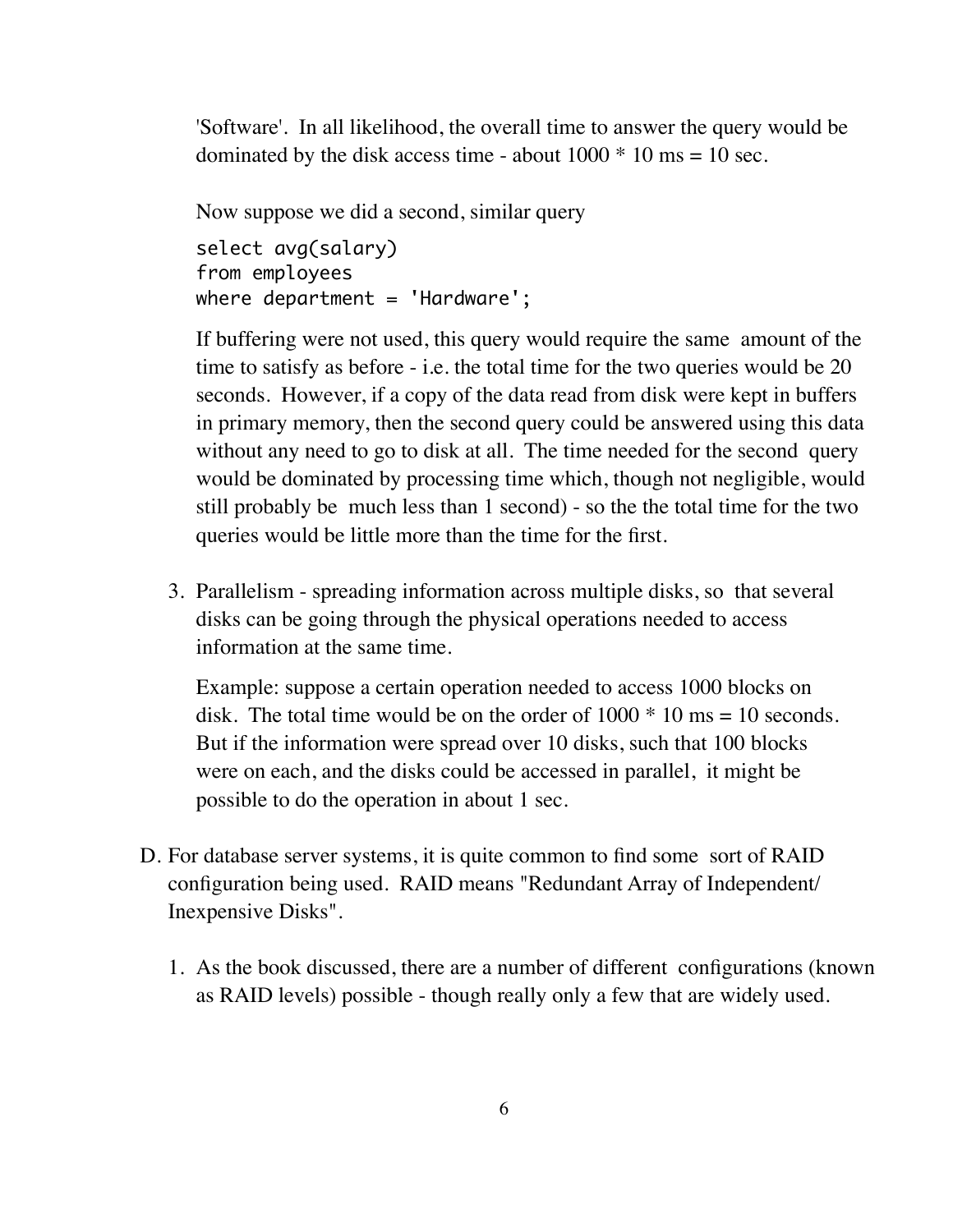'Software'. In all likelihood, the overall time to answer the query would be dominated by the disk access time - about  $1000 * 10$  ms = 10 sec.

Now suppose we did a second, similar query

```
select avg(salary)
from employees
where department = 'Hardware';
```
If buffering were not used, this query would require the same amount of the time to satisfy as before - i.e. the total time for the two queries would be 20 seconds. However, if a copy of the data read from disk were kept in buffers in primary memory, then the second query could be answered using this data without any need to go to disk at all. The time needed for the second query would be dominated by processing time which, though not negligible, would still probably be much less than 1 second) - so the the total time for the two queries would be little more than the time for the first.

3. Parallelism - spreading information across multiple disks, so that several disks can be going through the physical operations needed to access information at the same time.

Example: suppose a certain operation needed to access 1000 blocks on disk. The total time would be on the order of  $1000 * 10$  ms = 10 seconds. But if the information were spread over 10 disks, such that 100 blocks were on each, and the disks could be accessed in parallel, it might be possible to do the operation in about 1 sec.

- D. For database server systems, it is quite common to find some sort of RAID configuration being used. RAID means "Redundant Array of Independent/ Inexpensive Disks".
	- 1. As the book discussed, there are a number of different configurations (known as RAID levels) possible - though really only a few that are widely used.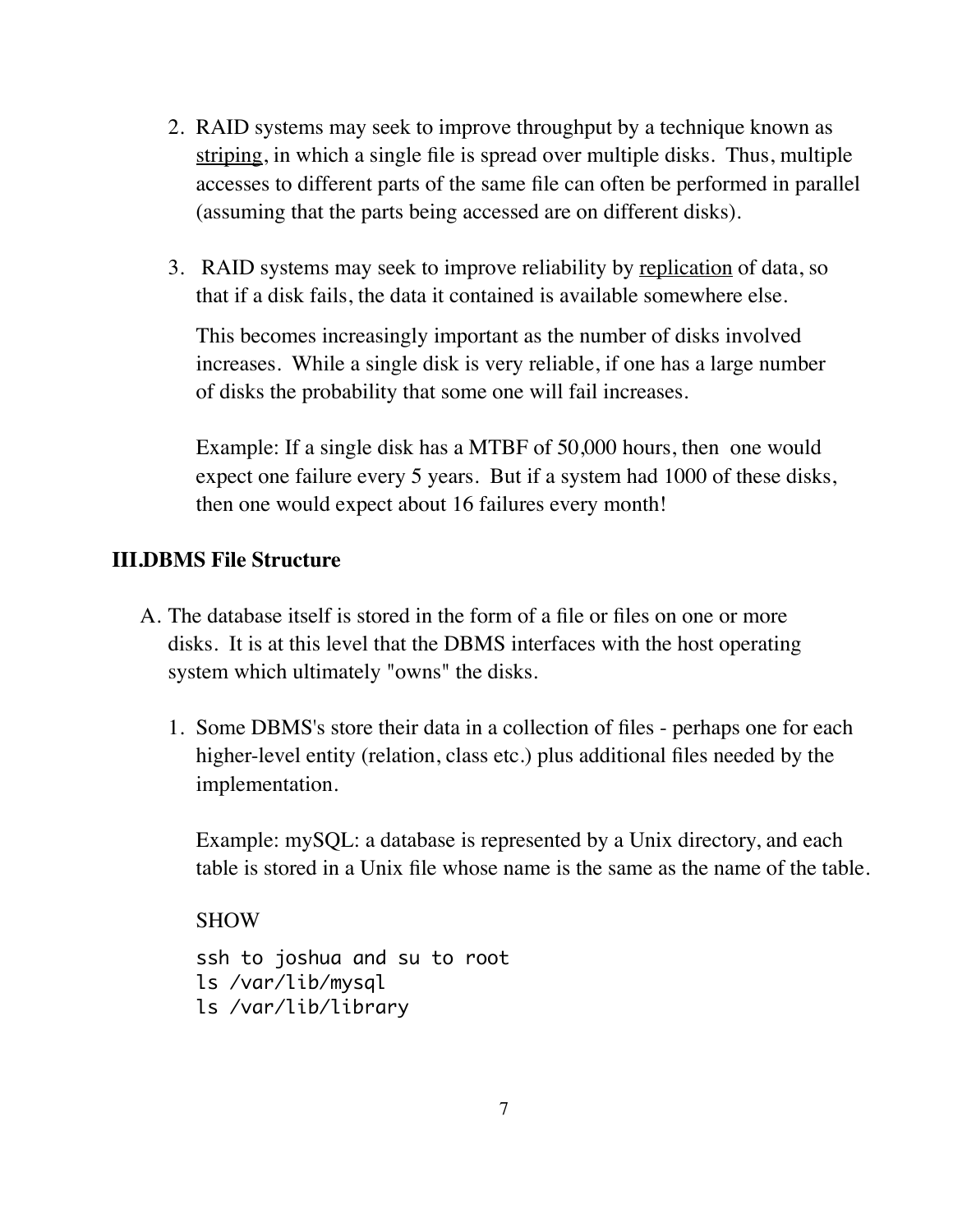- 2. RAID systems may seek to improve throughput by a technique known as striping, in which a single file is spread over multiple disks. Thus, multiple accesses to different parts of the same file can often be performed in parallel (assuming that the parts being accessed are on different disks).
- 3. RAID systems may seek to improve reliability by replication of data, so that if a disk fails, the data it contained is available somewhere else.

This becomes increasingly important as the number of disks involved increases. While a single disk is very reliable, if one has a large number of disks the probability that some one will fail increases.

Example: If a single disk has a MTBF of 50,000 hours, then one would expect one failure every 5 years. But if a system had 1000 of these disks, then one would expect about 16 failures every month!

## **III.DBMS File Structure**

- A. The database itself is stored in the form of a file or files on one or more disks. It is at this level that the DBMS interfaces with the host operating system which ultimately "owns" the disks.
	- 1. Some DBMS's store their data in a collection of files perhaps one for each higher-level entity (relation, class etc.) plus additional files needed by the implementation.

Example: mySQL: a database is represented by a Unix directory, and each table is stored in a Unix file whose name is the same as the name of the table.

SHOW

ssh to joshua and su to root ls /var/lib/mysql ls /var/lib/library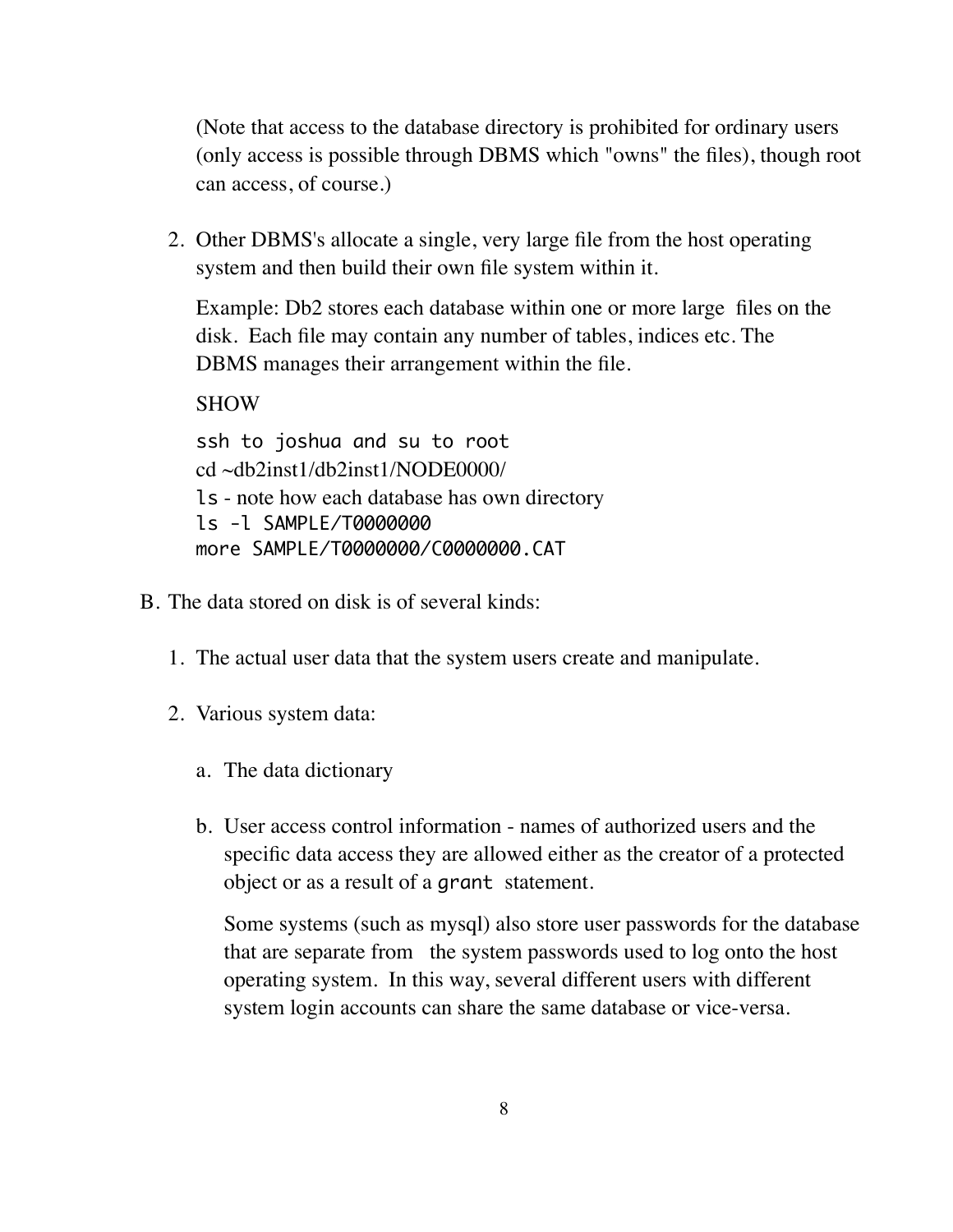(Note that access to the database directory is prohibited for ordinary users (only access is possible through DBMS which "owns" the files), though root can access, of course.)

2. Other DBMS's allocate a single, very large file from the host operating system and then build their own file system within it.

Example: Db2 stores each database within one or more large files on the disk. Each file may contain any number of tables, indices etc. The DBMS manages their arrangement within the file.

SHOW

ssh to joshua and su to root cd ~db2inst1/db2inst1/NODE0000/ ls - note how each database has own directory ls -l SAMPLE/T0000000 more SAMPLE/T0000000/C0000000.CAT

- B. The data stored on disk is of several kinds:
	- 1. The actual user data that the system users create and manipulate.
	- 2. Various system data:
		- a. The data dictionary
		- b. User access control information names of authorized users and the specific data access they are allowed either as the creator of a protected object or as a result of a grant statement.

Some systems (such as mysql) also store user passwords for the database that are separate from the system passwords used to log onto the host operating system. In this way, several different users with different system login accounts can share the same database or vice-versa.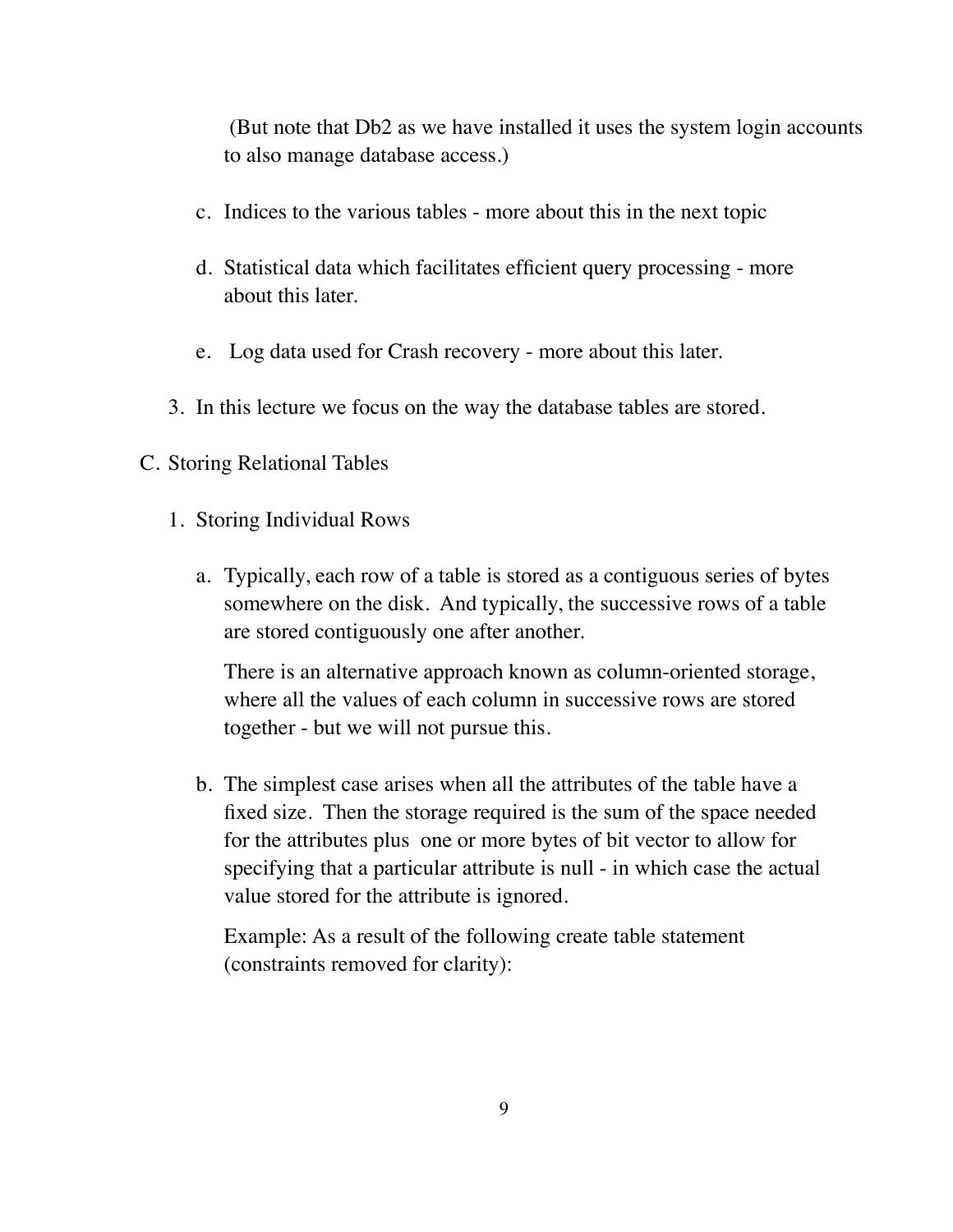(But note that Db2 as we have installed it uses the system login accounts to also manage database access.)

- c. Indices to the various tables more about this in the next topic
- d. Statistical data which facilitates efficient query processing more about this later.
- e. Log data used for Crash recovery more about this later.
- 3. In this lecture we focus on the way the database tables are stored.

### C. Storing Relational Tables

- 1. Storing Individual Rows
	- a. Typically, each row of a table is stored as a contiguous series of bytes somewhere on the disk. And typically, the successive rows of a table are stored contiguously one after another.

There is an alternative approach known as column-oriented storage, where all the values of each column in successive rows are stored together - but we will not pursue this.

b. The simplest case arises when all the attributes of the table have a fixed size. Then the storage required is the sum of the space needed for the attributes plus one or more bytes of bit vector to allow for specifying that a particular attribute is null - in which case the actual value stored for the attribute is ignored.

Example: As a result of the following create table statement (constraints removed for clarity):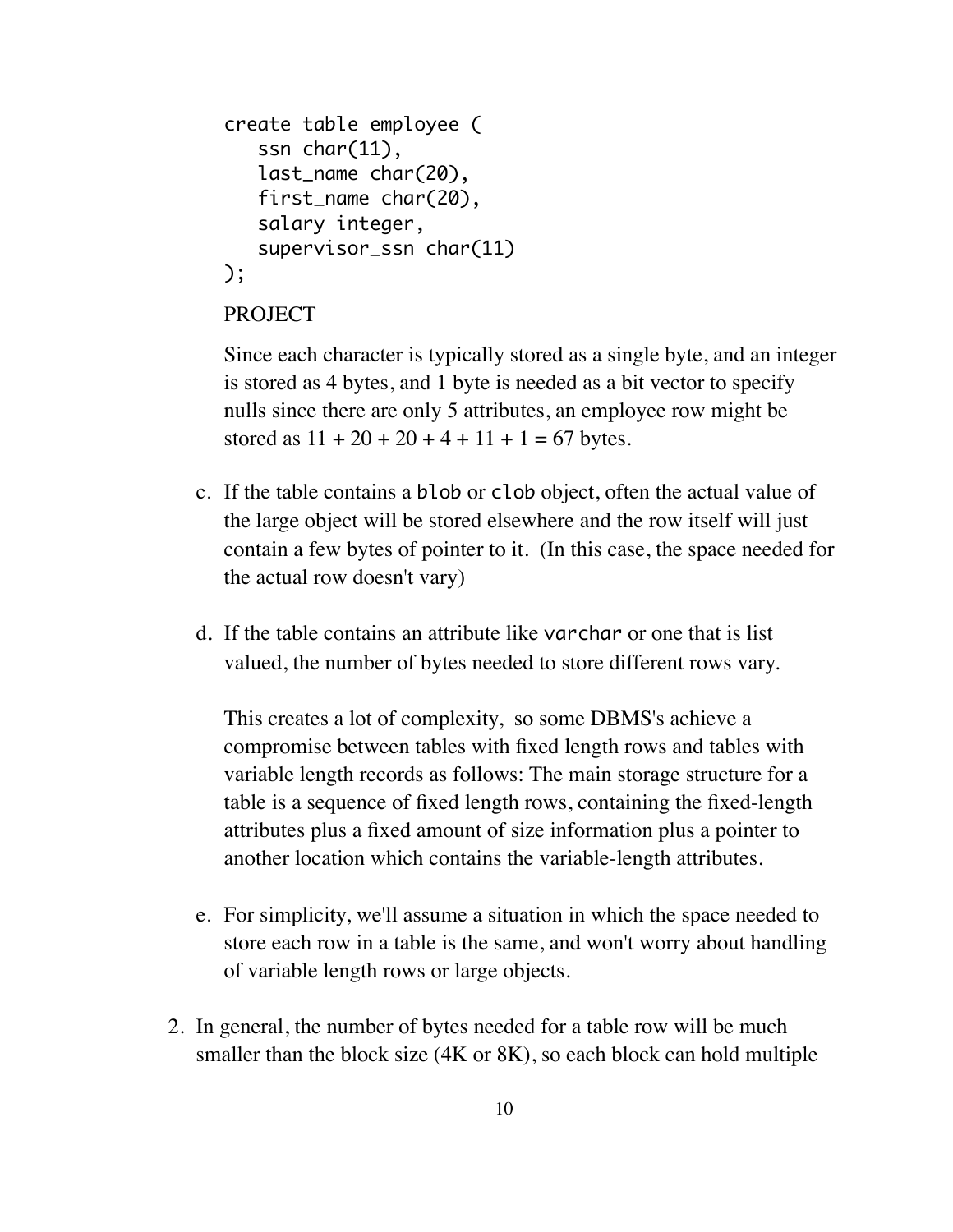```
create table employee (
    ssn char(11), 
    last_name char(20), 
    first_name char(20), 
    salary integer,
    supervisor_ssn char(11)
);
```
#### PROJECT

Since each character is typically stored as a single byte, and an integer is stored as 4 bytes, and 1 byte is needed as a bit vector to specify nulls since there are only 5 attributes, an employee row might be stored as  $11 + 20 + 20 + 4 + 11 + 1 = 67$  bytes.

- c. If the table contains a blob or clob object, often the actual value of the large object will be stored elsewhere and the row itself will just contain a few bytes of pointer to it. (In this case, the space needed for the actual row doesn't vary)
- d. If the table contains an attribute like varchar or one that is list valued, the number of bytes needed to store different rows vary.

This creates a lot of complexity, so some DBMS's achieve a compromise between tables with fixed length rows and tables with variable length records as follows: The main storage structure for a table is a sequence of fixed length rows, containing the fixed-length attributes plus a fixed amount of size information plus a pointer to another location which contains the variable-length attributes.

- e. For simplicity, we'll assume a situation in which the space needed to store each row in a table is the same, and won't worry about handling of variable length rows or large objects.
- 2. In general, the number of bytes needed for a table row will be much smaller than the block size (4K or 8K), so each block can hold multiple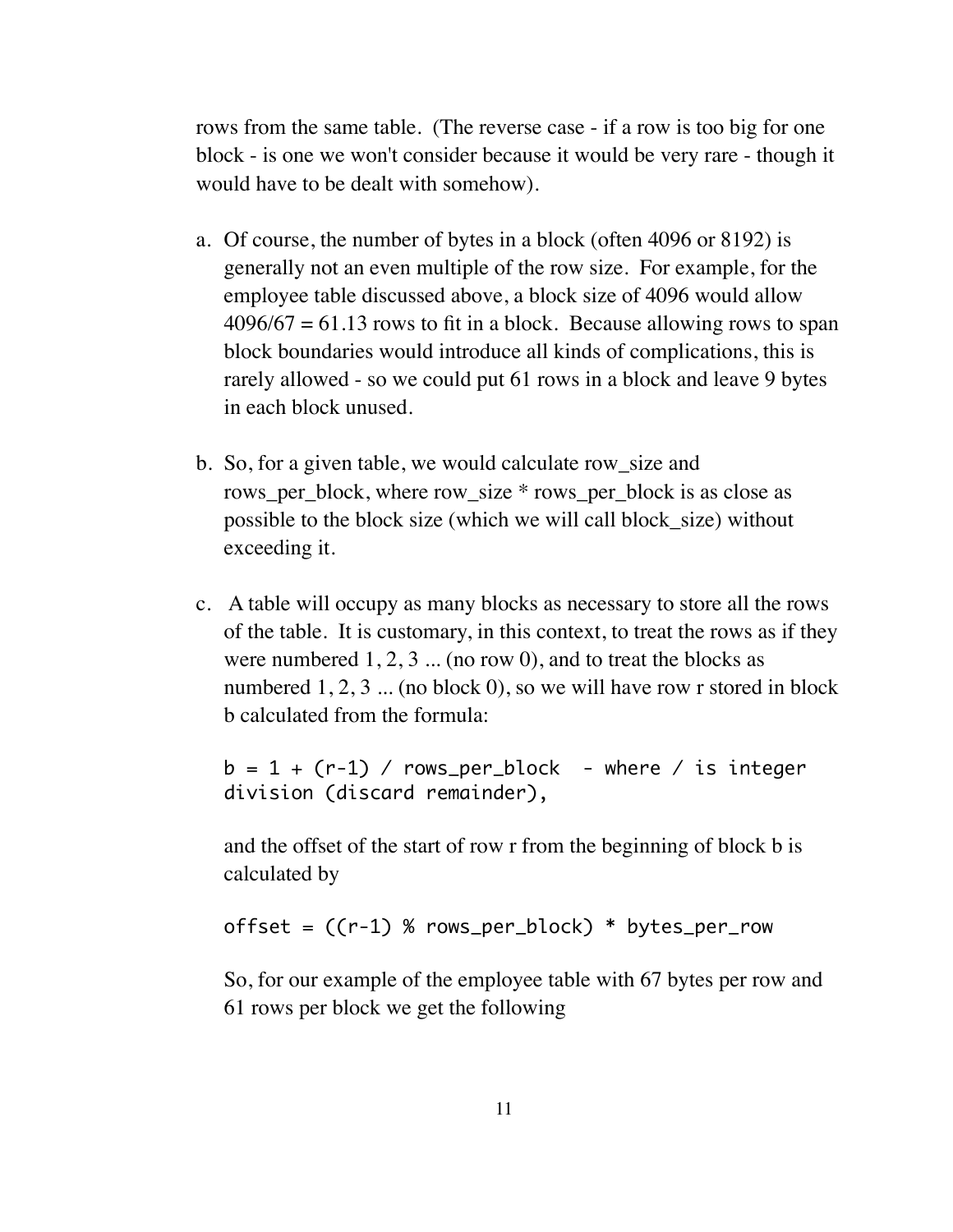rows from the same table. (The reverse case - if a row is too big for one block - is one we won't consider because it would be very rare - though it would have to be dealt with somehow).

- a. Of course, the number of bytes in a block (often 4096 or 8192) is generally not an even multiple of the row size. For example, for the employee table discussed above, a block size of 4096 would allow  $4096/67 = 61.13$  rows to fit in a block. Because allowing rows to span block boundaries would introduce all kinds of complications, this is rarely allowed - so we could put 61 rows in a block and leave 9 bytes in each block unused.
- b. So, for a given table, we would calculate row\_size and rows per block, where row size \* rows per block is as close as possible to the block size (which we will call block\_size) without exceeding it.
- c. A table will occupy as many blocks as necessary to store all the rows of the table. It is customary, in this context, to treat the rows as if they were numbered  $1, 2, 3$  ... (no row 0), and to treat the blocks as numbered 1, 2, 3 ... (no block 0), so we will have row r stored in block b calculated from the formula:

 $b = 1 + (r-1)$  / rows\_per\_block - where / is integer division (discard remainder),

and the offset of the start of row r from the beginning of block b is calculated by

offset =  $((r-1) % rows_per-block) * bytes_perrow$ 

So, for our example of the employee table with 67 bytes per row and 61 rows per block we get the following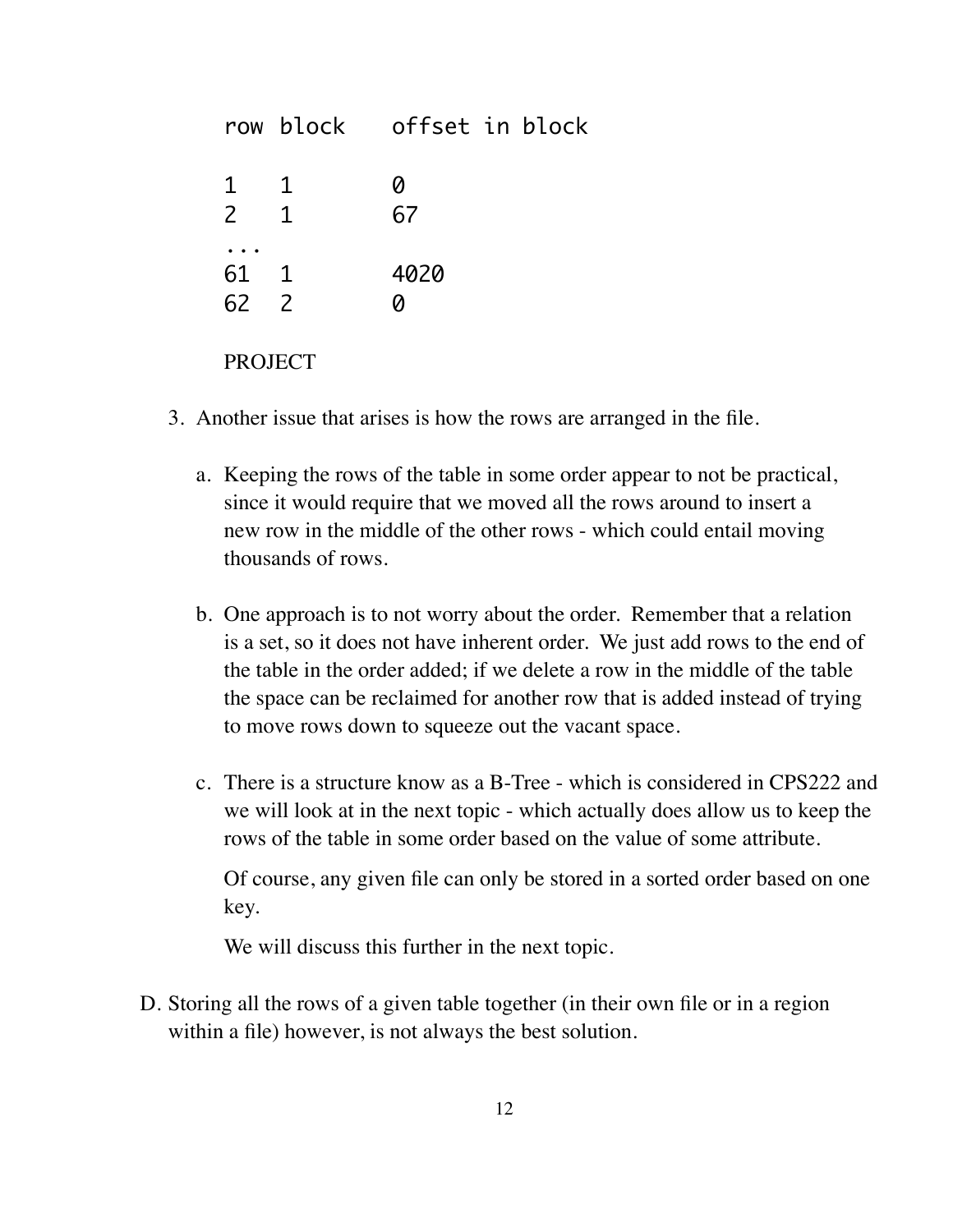|                                |                              | row block offset in block |
|--------------------------------|------------------------------|---------------------------|
| $\mathbf{1}$<br>$\overline{2}$ | $\mathbf{1}$<br>$\mathbf{1}$ | 0<br>67                   |
| 61 1<br>62 2                   |                              | 4020<br>Ø                 |
| <b>PROJECT</b>                 |                              |                           |

- 3. Another issue that arises is how the rows are arranged in the file.
	- a. Keeping the rows of the table in some order appear to not be practical, since it would require that we moved all the rows around to insert a new row in the middle of the other rows - which could entail moving thousands of rows.
	- b. One approach is to not worry about the order. Remember that a relation is a set, so it does not have inherent order. We just add rows to the end of the table in the order added; if we delete a row in the middle of the table the space can be reclaimed for another row that is added instead of trying to move rows down to squeeze out the vacant space.
	- c. There is a structure know as a B-Tree which is considered in CPS222 and we will look at in the next topic - which actually does allow us to keep the rows of the table in some order based on the value of some attribute.

Of course, any given file can only be stored in a sorted order based on one key.

We will discuss this further in the next topic.

D. Storing all the rows of a given table together (in their own file or in a region within a file) however, is not always the best solution.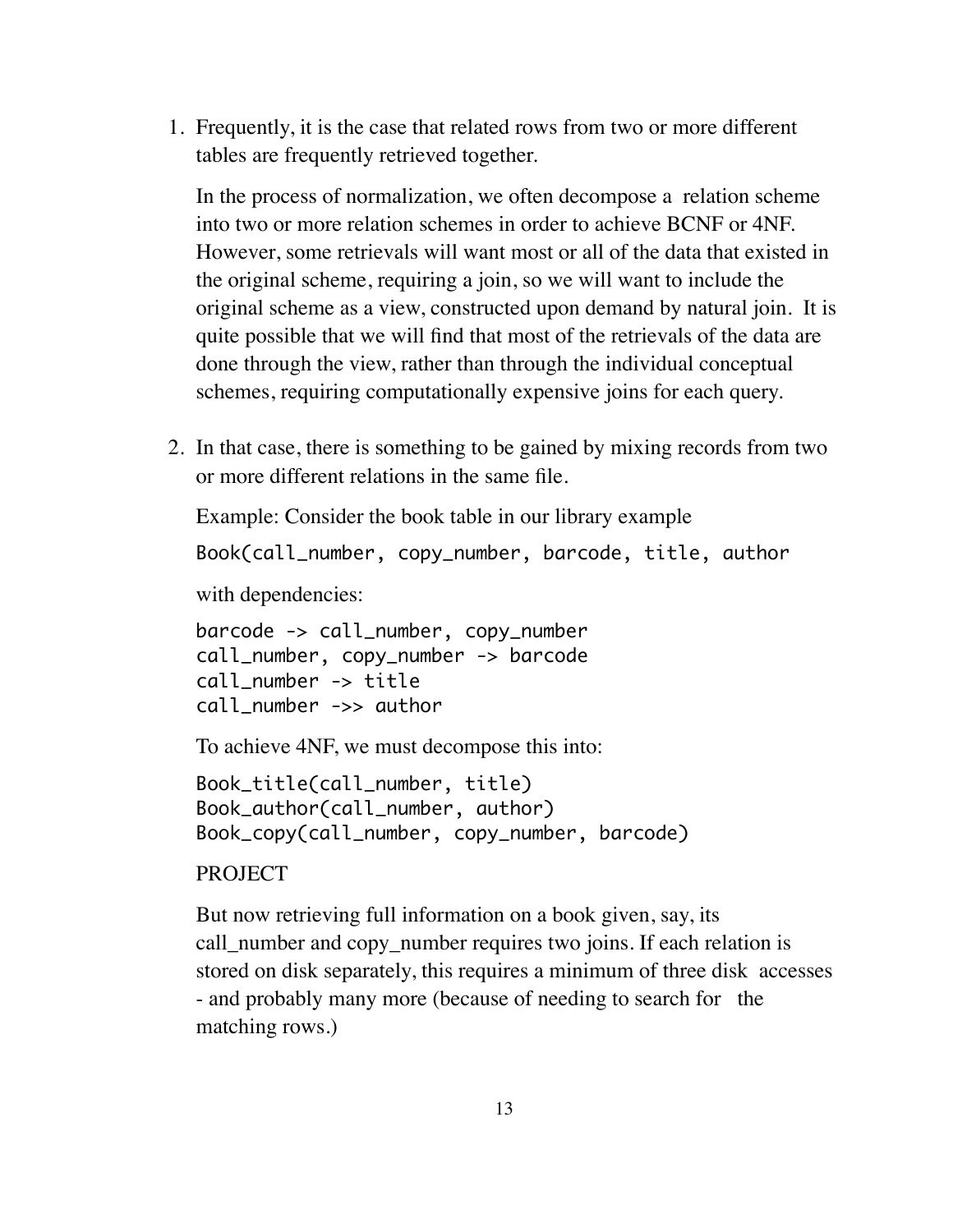1. Frequently, it is the case that related rows from two or more different tables are frequently retrieved together.

In the process of normalization, we often decompose a relation scheme into two or more relation schemes in order to achieve BCNF or 4NF. However, some retrievals will want most or all of the data that existed in the original scheme, requiring a join, so we will want to include the original scheme as a view, constructed upon demand by natural join. It is quite possible that we will find that most of the retrievals of the data are done through the view, rather than through the individual conceptual schemes, requiring computationally expensive joins for each query.

2. In that case, there is something to be gained by mixing records from two or more different relations in the same file.

Example: Consider the book table in our library example

Book(call\_number, copy\_number, barcode, title, author

with dependencies:

barcode -> call\_number, copy\_number call\_number, copy\_number -> barcode call\_number -> title call\_number ->> author

To achieve 4NF, we must decompose this into:

Book\_title(call\_number, title) Book\_author(call\_number, author) Book\_copy(call\_number, copy\_number, barcode)

### PROJECT

But now retrieving full information on a book given, say, its call\_number and copy\_number requires two joins. If each relation is stored on disk separately, this requires a minimum of three disk accesses - and probably many more (because of needing to search for the matching rows.)